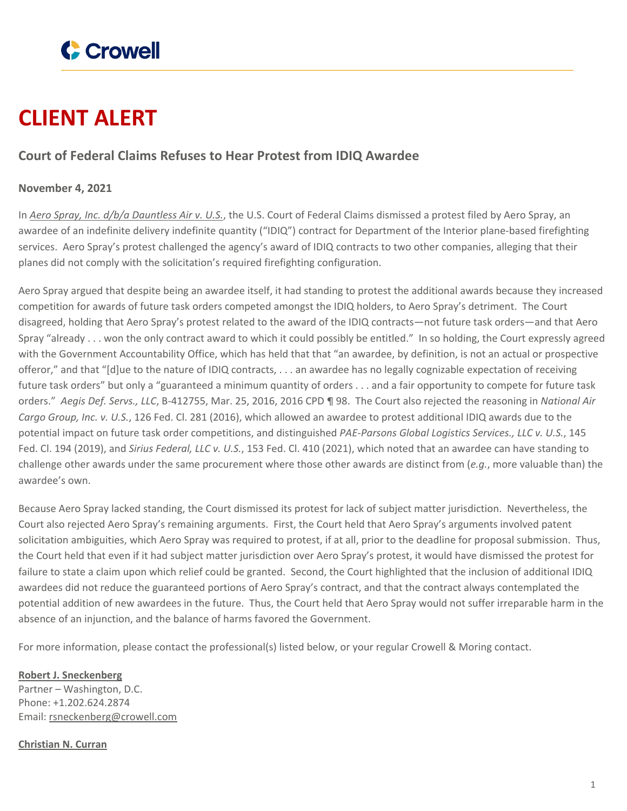

## **CLIENT ALERT**

## **Court of Federal Claims Refuses to Hear Protest from IDIQ Awardee**

## **November 4, 2021**

In *Aero Spray, Inc. d/b/a [Dauntless](https://ecf.cofc.uscourts.gov/cgi-bin/show_public_doc?2021cv1079-54-0) Air v. U.S.*, the U.S. Court of Federal Claims dismissed a protest filed by Aero Spray, an awardee of an indefinite delivery indefinite quantity ("IDIQ") contract for Department of the Interior plane-based firefighting services. Aero Spray's protest challenged the agency's award of IDIQ contracts to two other companies, alleging that their planes did not comply with the solicitation's required firefighting configuration.

Aero Spray argued that despite being an awardee itself, it had standing to protest the additional awards because they increased competition for awards of future task orders competed amongst the IDIQ holders, to Aero Spray's detriment. The Court disagreed, holding that Aero Spray's protest related to the award of the IDIQ contracts—not future task orders—and that Aero Spray "already . . . won the only contract award to which it could possibly be entitled." In so holding, the Court expressly agreed with the Government Accountability Office, which has held that that "an awardee, by definition, is not an actual or prospective offeror," and that "[d]ue to the nature of IDIQ contracts, . . . an awardee has no legally cognizable expectation of receiving future task orders" but only a "guaranteed a minimum quantity of orders . . . and a fair opportunity to compete for future task orders." *Aegis Def. Servs., LLC*, B-412755, Mar. 25, 2016, 2016 CPD ¶ 98. The Court also rejected the reasoning in *National Air Cargo Group, Inc. v. U.S.*, 126 Fed. Cl. 281 (2016), which allowed an awardee to protest additional IDIQ awards due to the potential impact on future task order competitions, and distinguished *PAE-Parsons Global Logistics Services., LLC v. U.S.*, 145 Fed. Cl. 194 (2019), and *Sirius Federal, LLC v. U.S.*, 153 Fed. Cl. 410 (2021), which noted that an awardee can have standing to challenge other awards under the same procurement where those other awards are distinct from (*e.g.*, more valuable than) the awardee's own.

Because Aero Spray lacked standing, the Court dismissed its protest for lack of subject matter jurisdiction. Nevertheless, the Court also rejected Aero Spray's remaining arguments. First, the Court held that Aero Spray's arguments involved patent solicitation ambiguities, which Aero Spray was required to protest, if at all, prior to the deadline for proposal submission. Thus, the Court held that even if it had subject matter jurisdiction over Aero Spray's protest, it would have dismissed the protest for failure to state a claim upon which relief could be granted. Second, the Court highlighted that the inclusion of additional IDIQ awardees did not reduce the guaranteed portions of Aero Spray's contract, and that the contract always contemplated the potential addition of new awardees in the future. Thus, the Court held that Aero Spray would not suffer irreparable harm in the absence of an injunction, and the balance of harms favored the Government.

For more information, please contact the professional(s) listed below, or your regular Crowell & Moring contact.

**Robert J. [Sneckenberg](https://www.crowell.com/professionals/Robert-Sneckenberg)** Partner – Washington, D.C. Phone: +1.202.624.2874 Email: [rsneckenberg@crowell.com](mailto:rsneckenberg@crowell.com)

**[Christian](https://www.crowell.com/professionals/Christian-Curran) N. Curran**